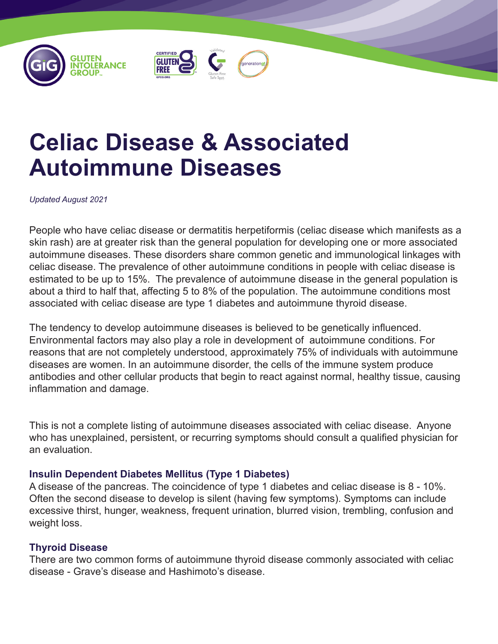





# **Celiac Disease & Associated Autoimmune Diseases**

*Updated August 2021*

People who have celiac disease or dermatitis herpetiformis (celiac disease which manifests as a skin rash) are at greater risk than the general population for developing one or more associated autoimmune diseases. These disorders share common genetic and immunological linkages with celiac disease. The prevalence of other autoimmune conditions in people with celiac disease is estimated to be up to 15%. The prevalence of autoimmune disease in the general population is about a third to half that, affecting 5 to 8% of the population. The autoimmune conditions most associated with celiac disease are type 1 diabetes and autoimmune thyroid disease.

The tendency to develop autoimmune diseases is believed to be genetically influenced. Environmental factors may also play a role in development of autoimmune conditions. For reasons that are not completely understood, approximately 75% of individuals with autoimmune diseases are women. In an autoimmune disorder, the cells of the immune system produce antibodies and other cellular products that begin to react against normal, healthy tissue, causing inflammation and damage.

This is not a complete listing of autoimmune diseases associated with celiac disease. Anyone who has unexplained, persistent, or recurring symptoms should consult a qualified physician for an evaluation.

# **Insulin Dependent Diabetes Mellitus (Type 1 Diabetes)**

A disease of the pancreas. The coincidence of type 1 diabetes and celiac disease is 8 - 10%. Often the second disease to develop is silent (having few symptoms). Symptoms can include excessive thirst, hunger, weakness, frequent urination, blurred vision, trembling, confusion and weight loss.

# **Thyroid Disease**

There are two common forms of autoimmune thyroid disease commonly associated with celiac disease - Grave's disease and Hashimoto's disease.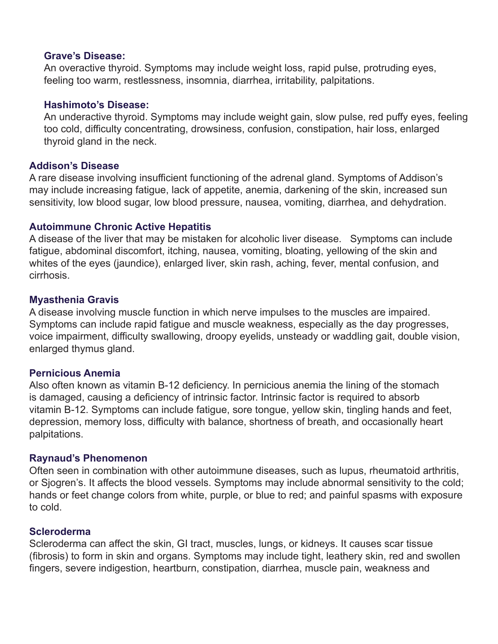#### **Grave's Disease:**

An overactive thyroid. Symptoms may include weight loss, rapid pulse, protruding eyes, feeling too warm, restlessness, insomnia, diarrhea, irritability, palpitations.

#### **Hashimoto's Disease:**

An underactive thyroid. Symptoms may include weight gain, slow pulse, red puffy eyes, feeling too cold, difficulty concentrating, drowsiness, confusion, constipation, hair loss, enlarged thyroid gland in the neck.

#### **Addison's Disease**

A rare disease involving insufficient functioning of the adrenal gland. Symptoms of Addison's may include increasing fatigue, lack of appetite, anemia, darkening of the skin, increased sun sensitivity, low blood sugar, low blood pressure, nausea, vomiting, diarrhea, and dehydration.

# **Autoimmune Chronic Active Hepatitis**

A disease of the liver that may be mistaken for alcoholic liver disease. Symptoms can include fatigue, abdominal discomfort, itching, nausea, vomiting, bloating, yellowing of the skin and whites of the eyes (jaundice), enlarged liver, skin rash, aching, fever, mental confusion, and cirrhosis.

#### **Myasthenia Gravis**

A disease involving muscle function in which nerve impulses to the muscles are impaired. Symptoms can include rapid fatigue and muscle weakness, especially as the day progresses, voice impairment, difficulty swallowing, droopy eyelids, unsteady or waddling gait, double vision, enlarged thymus gland.

# **Pernicious Anemia**

Also often known as vitamin B-12 deficiency. In pernicious anemia the lining of the stomach is damaged, causing a deficiency of intrinsic factor. Intrinsic factor is required to absorb vitamin B-12. Symptoms can include fatigue, sore tongue, yellow skin, tingling hands and feet, depression, memory loss, difficulty with balance, shortness of breath, and occasionally heart palpitations.

# **Raynaud's Phenomenon**

Often seen in combination with other autoimmune diseases, such as lupus, rheumatoid arthritis, or Sjogren's. It affects the blood vessels. Symptoms may include abnormal sensitivity to the cold; hands or feet change colors from white, purple, or blue to red; and painful spasms with exposure to cold.

# **Scleroderma**

Scleroderma can affect the skin, GI tract, muscles, lungs, or kidneys. It causes scar tissue (fibrosis) to form in skin and organs. Symptoms may include tight, leathery skin, red and swollen fingers, severe indigestion, heartburn, constipation, diarrhea, muscle pain, weakness and